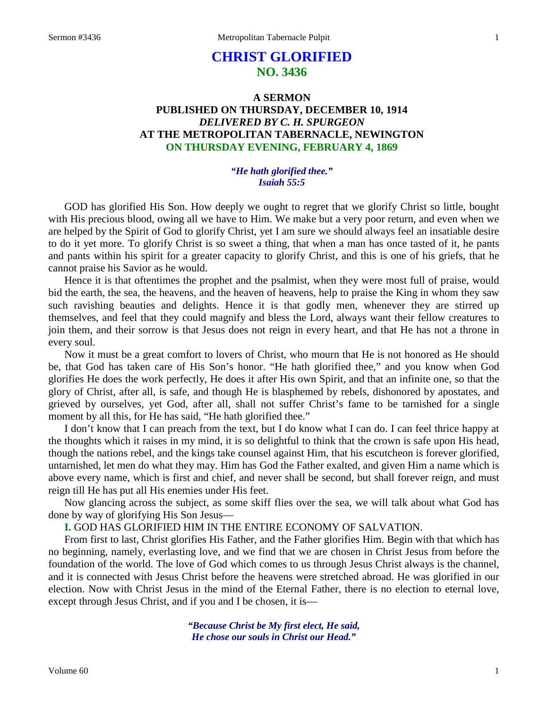# **CHRIST GLORIFIED NO. 3436**

# **A SERMON PUBLISHED ON THURSDAY, DECEMBER 10, 1914** *DELIVERED BY C. H. SPURGEON* **AT THE METROPOLITAN TABERNACLE, NEWINGTON ON THURSDAY EVENING, FEBRUARY 4, 1869**

## *"He hath glorified thee." Isaiah 55:5*

GOD has glorified His Son. How deeply we ought to regret that we glorify Christ so little, bought with His precious blood, owing all we have to Him. We make but a very poor return, and even when we are helped by the Spirit of God to glorify Christ, yet I am sure we should always feel an insatiable desire to do it yet more. To glorify Christ is so sweet a thing, that when a man has once tasted of it, he pants and pants within his spirit for a greater capacity to glorify Christ, and this is one of his griefs, that he cannot praise his Savior as he would.

Hence it is that oftentimes the prophet and the psalmist, when they were most full of praise, would bid the earth, the sea, the heavens, and the heaven of heavens, help to praise the King in whom they saw such ravishing beauties and delights. Hence it is that godly men, whenever they are stirred up themselves, and feel that they could magnify and bless the Lord, always want their fellow creatures to join them, and their sorrow is that Jesus does not reign in every heart, and that He has not a throne in every soul.

Now it must be a great comfort to lovers of Christ, who mourn that He is not honored as He should be, that God has taken care of His Son's honor. "He hath glorified thee," and you know when God glorifies He does the work perfectly, He does it after His own Spirit, and that an infinite one, so that the glory of Christ, after all, is safe, and though He is blasphemed by rebels, dishonored by apostates, and grieved by ourselves, yet God, after all, shall not suffer Christ's fame to be tarnished for a single moment by all this, for He has said, "He hath glorified thee."

I don't know that I can preach from the text, but I do know what I can do. I can feel thrice happy at the thoughts which it raises in my mind, it is so delightful to think that the crown is safe upon His head, though the nations rebel, and the kings take counsel against Him, that his escutcheon is forever glorified, untarnished, let men do what they may. Him has God the Father exalted, and given Him a name which is above every name, which is first and chief, and never shall be second, but shall forever reign, and must reign till He has put all His enemies under His feet.

Now glancing across the subject, as some skiff flies over the sea, we will talk about what God has done by way of glorifying His Son Jesus—

**I.** GOD HAS GLORIFIED HIM IN THE ENTIRE ECONOMY OF SALVATION.

From first to last, Christ glorifies His Father, and the Father glorifies Him. Begin with that which has no beginning, namely, everlasting love, and we find that we are chosen in Christ Jesus from before the foundation of the world. The love of God which comes to us through Jesus Christ always is the channel, and it is connected with Jesus Christ before the heavens were stretched abroad. He was glorified in our election. Now with Christ Jesus in the mind of the Eternal Father, there is no election to eternal love, except through Jesus Christ, and if you and I be chosen, it is—

> *"Because Christ be My first elect, He said, He chose our souls in Christ our Head."*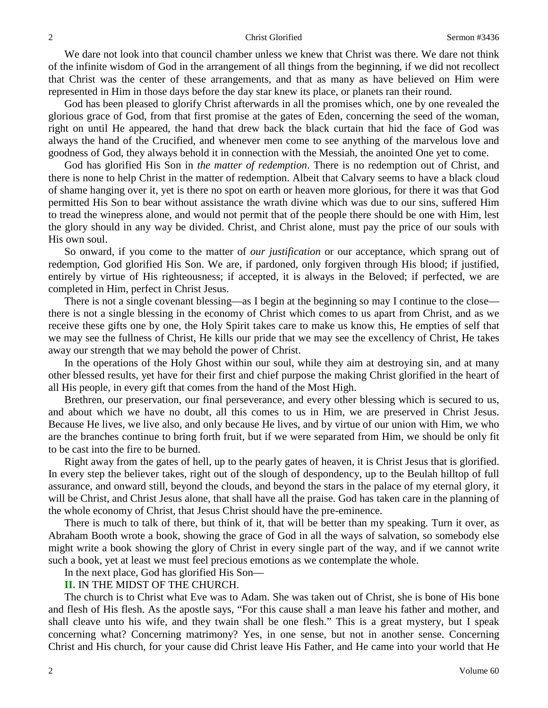#### 2 2 Christ Glorified Sermon #3436

We dare not look into that council chamber unless we knew that Christ was there. We dare not think of the infinite wisdom of God in the arrangement of all things from the beginning, if we did not recollect that Christ was the center of these arrangements, and that as many as have believed on Him were represented in Him in those days before the day star knew its place, or planets ran their round.

God has been pleased to glorify Christ afterwards in all the promises which, one by one revealed the glorious grace of God, from that first promise at the gates of Eden, concerning the seed of the woman, right on until He appeared, the hand that drew back the black curtain that hid the face of God was always the hand of the Crucified, and whenever men come to see anything of the marvelous love and goodness of God, they always behold it in connection with the Messiah, the anointed One yet to come.

God has glorified His Son in *the matter of redemption*. There is no redemption out of Christ, and there is none to help Christ in the matter of redemption. Albeit that Calvary seems to have a black cloud of shame hanging over it, yet is there no spot on earth or heaven more glorious, for there it was that God permitted His Son to bear without assistance the wrath divine which was due to our sins, suffered Him to tread the winepress alone, and would not permit that of the people there should be one with Him, lest the glory should in any way be divided. Christ, and Christ alone, must pay the price of our souls with His own soul.

So onward, if you come to the matter of *our justification* or our acceptance, which sprang out of redemption, God glorified His Son. We are, if pardoned, only forgiven through His blood; if justified, entirely by virtue of His righteousness; if accepted, it is always in the Beloved; if perfected, we are completed in Him, perfect in Christ Jesus.

There is not a single covenant blessing—as I begin at the beginning so may I continue to the close there is not a single blessing in the economy of Christ which comes to us apart from Christ, and as we receive these gifts one by one, the Holy Spirit takes care to make us know this, He empties of self that we may see the fullness of Christ, He kills our pride that we may see the excellency of Christ, He takes away our strength that we may behold the power of Christ.

In the operations of the Holy Ghost within our soul, while they aim at destroying sin, and at many other blessed results, yet have for their first and chief purpose the making Christ glorified in the heart of all His people, in every gift that comes from the hand of the Most High.

Brethren, our preservation, our final perseverance, and every other blessing which is secured to us, and about which we have no doubt, all this comes to us in Him, we are preserved in Christ Jesus. Because He lives, we live also, and only because He lives, and by virtue of our union with Him, we who are the branches continue to bring forth fruit, but if we were separated from Him, we should be only fit to be cast into the fire to be burned.

Right away from the gates of hell, up to the pearly gates of heaven, it is Christ Jesus that is glorified. In every step the believer takes, right out of the slough of despondency, up to the Beulah hilltop of full assurance, and onward still, beyond the clouds, and beyond the stars in the palace of my eternal glory, it will be Christ, and Christ Jesus alone, that shall have all the praise. God has taken care in the planning of the whole economy of Christ, that Jesus Christ should have the pre-eminence.

There is much to talk of there, but think of it, that will be better than my speaking. Turn it over, as Abraham Booth wrote a book, showing the grace of God in all the ways of salvation, so somebody else might write a book showing the glory of Christ in every single part of the way, and if we cannot write such a book, yet at least we must feel precious emotions as we contemplate the whole.

In the next place, God has glorified His Son—

**II.** IN THE MIDST OF THE CHURCH.

The church is to Christ what Eve was to Adam. She was taken out of Christ, she is bone of His bone and flesh of His flesh. As the apostle says, "For this cause shall a man leave his father and mother, and shall cleave unto his wife, and they twain shall be one flesh." This is a great mystery, but I speak concerning what? Concerning matrimony? Yes, in one sense, but not in another sense. Concerning Christ and His church, for your cause did Christ leave His Father, and He came into your world that He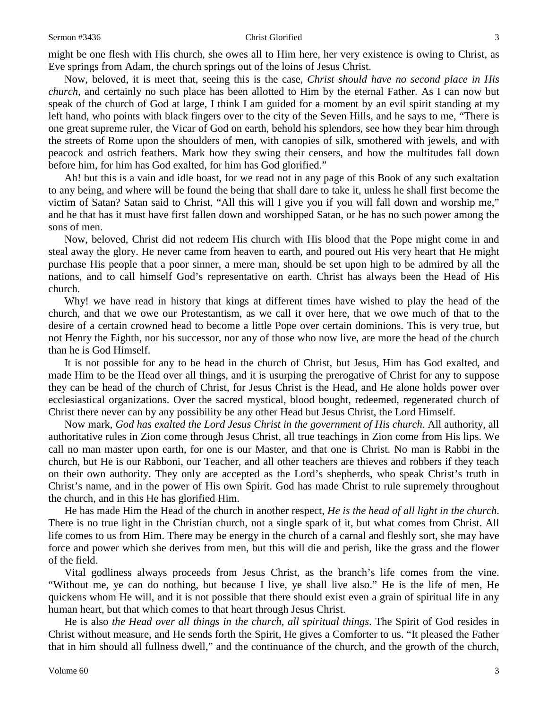#### Sermon #3436 **Sermon #3436** Christ Glorified 3

might be one flesh with His church, she owes all to Him here, her very existence is owing to Christ, as Eve springs from Adam, the church springs out of the loins of Jesus Christ.

Now, beloved, it is meet that, seeing this is the case, *Christ should have no second place in His church,* and certainly no such place has been allotted to Him by the eternal Father. As I can now but speak of the church of God at large, I think I am guided for a moment by an evil spirit standing at my left hand, who points with black fingers over to the city of the Seven Hills, and he says to me, "There is one great supreme ruler, the Vicar of God on earth, behold his splendors, see how they bear him through the streets of Rome upon the shoulders of men, with canopies of silk, smothered with jewels, and with peacock and ostrich feathers. Mark how they swing their censers, and how the multitudes fall down before him, for him has God exalted, for him has God glorified."

Ah! but this is a vain and idle boast, for we read not in any page of this Book of any such exaltation to any being, and where will be found the being that shall dare to take it, unless he shall first become the victim of Satan? Satan said to Christ, "All this will I give you if you will fall down and worship me," and he that has it must have first fallen down and worshipped Satan, or he has no such power among the sons of men.

Now, beloved, Christ did not redeem His church with His blood that the Pope might come in and steal away the glory. He never came from heaven to earth, and poured out His very heart that He might purchase His people that a poor sinner, a mere man, should be set upon high to be admired by all the nations, and to call himself God's representative on earth. Christ has always been the Head of His church.

Why! we have read in history that kings at different times have wished to play the head of the church, and that we owe our Protestantism, as we call it over here, that we owe much of that to the desire of a certain crowned head to become a little Pope over certain dominions. This is very true, but not Henry the Eighth, nor his successor, nor any of those who now live, are more the head of the church than he is God Himself.

It is not possible for any to be head in the church of Christ, but Jesus, Him has God exalted, and made Him to be the Head over all things, and it is usurping the prerogative of Christ for any to suppose they can be head of the church of Christ, for Jesus Christ is the Head, and He alone holds power over ecclesiastical organizations. Over the sacred mystical, blood bought, redeemed, regenerated church of Christ there never can by any possibility be any other Head but Jesus Christ, the Lord Himself.

Now mark, *God has exalted the Lord Jesus Christ in the government of His church*. All authority, all authoritative rules in Zion come through Jesus Christ, all true teachings in Zion come from His lips. We call no man master upon earth, for one is our Master, and that one is Christ. No man is Rabbi in the church, but He is our Rabboni, our Teacher, and all other teachers are thieves and robbers if they teach on their own authority. They only are accepted as the Lord's shepherds, who speak Christ's truth in Christ's name, and in the power of His own Spirit. God has made Christ to rule supremely throughout the church, and in this He has glorified Him.

He has made Him the Head of the church in another respect, *He is the head of all light in the church*. There is no true light in the Christian church, not a single spark of it, but what comes from Christ. All life comes to us from Him. There may be energy in the church of a carnal and fleshly sort, she may have force and power which she derives from men, but this will die and perish, like the grass and the flower of the field.

Vital godliness always proceeds from Jesus Christ, as the branch's life comes from the vine. "Without me, ye can do nothing, but because I live, ye shall live also." He is the life of men, He quickens whom He will, and it is not possible that there should exist even a grain of spiritual life in any human heart, but that which comes to that heart through Jesus Christ.

He is also *the Head over all things in the church, all spiritual things*. The Spirit of God resides in Christ without measure, and He sends forth the Spirit, He gives a Comforter to us. "It pleased the Father that in him should all fullness dwell," and the continuance of the church, and the growth of the church,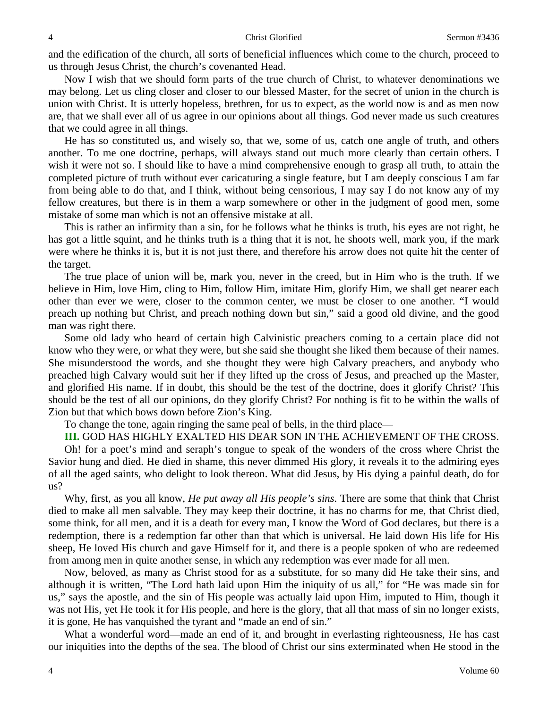and the edification of the church, all sorts of beneficial influences which come to the church, proceed to us through Jesus Christ, the church's covenanted Head.

Now I wish that we should form parts of the true church of Christ, to whatever denominations we may belong. Let us cling closer and closer to our blessed Master, for the secret of union in the church is union with Christ. It is utterly hopeless, brethren, for us to expect, as the world now is and as men now are, that we shall ever all of us agree in our opinions about all things. God never made us such creatures that we could agree in all things.

He has so constituted us, and wisely so, that we, some of us, catch one angle of truth, and others another. To me one doctrine, perhaps, will always stand out much more clearly than certain others. I wish it were not so. I should like to have a mind comprehensive enough to grasp all truth, to attain the completed picture of truth without ever caricaturing a single feature, but I am deeply conscious I am far from being able to do that, and I think, without being censorious, I may say I do not know any of my fellow creatures, but there is in them a warp somewhere or other in the judgment of good men, some mistake of some man which is not an offensive mistake at all.

This is rather an infirmity than a sin, for he follows what he thinks is truth, his eyes are not right, he has got a little squint, and he thinks truth is a thing that it is not, he shoots well, mark you, if the mark were where he thinks it is, but it is not just there, and therefore his arrow does not quite hit the center of the target.

The true place of union will be, mark you, never in the creed, but in Him who is the truth. If we believe in Him, love Him, cling to Him, follow Him, imitate Him, glorify Him, we shall get nearer each other than ever we were, closer to the common center, we must be closer to one another. "I would preach up nothing but Christ, and preach nothing down but sin," said a good old divine, and the good man was right there.

Some old lady who heard of certain high Calvinistic preachers coming to a certain place did not know who they were, or what they were, but she said she thought she liked them because of their names. She misunderstood the words, and she thought they were high Calvary preachers, and anybody who preached high Calvary would suit her if they lifted up the cross of Jesus, and preached up the Master, and glorified His name. If in doubt, this should be the test of the doctrine, does it glorify Christ? This should be the test of all our opinions, do they glorify Christ? For nothing is fit to be within the walls of Zion but that which bows down before Zion's King.

To change the tone, again ringing the same peal of bells, in the third place—

**III.** GOD HAS HIGHLY EXALTED HIS DEAR SON IN THE ACHIEVEMENT OF THE CROSS.

Oh! for a poet's mind and seraph's tongue to speak of the wonders of the cross where Christ the Savior hung and died. He died in shame, this never dimmed His glory, it reveals it to the admiring eyes of all the aged saints, who delight to look thereon. What did Jesus, by His dying a painful death, do for us?

Why, first, as you all know, *He put away all His people's sins*. There are some that think that Christ died to make all men salvable. They may keep their doctrine, it has no charms for me, that Christ died, some think, for all men, and it is a death for every man, I know the Word of God declares, but there is a redemption, there is a redemption far other than that which is universal. He laid down His life for His sheep, He loved His church and gave Himself for it, and there is a people spoken of who are redeemed from among men in quite another sense, in which any redemption was ever made for all men.

Now, beloved, as many as Christ stood for as a substitute, for so many did He take their sins, and although it is written, "The Lord hath laid upon Him the iniquity of us all," for "He was made sin for us," says the apostle, and the sin of His people was actually laid upon Him, imputed to Him, though it was not His, yet He took it for His people, and here is the glory, that all that mass of sin no longer exists, it is gone, He has vanquished the tyrant and "made an end of sin."

What a wonderful word—made an end of it, and brought in everlasting righteousness, He has cast our iniquities into the depths of the sea. The blood of Christ our sins exterminated when He stood in the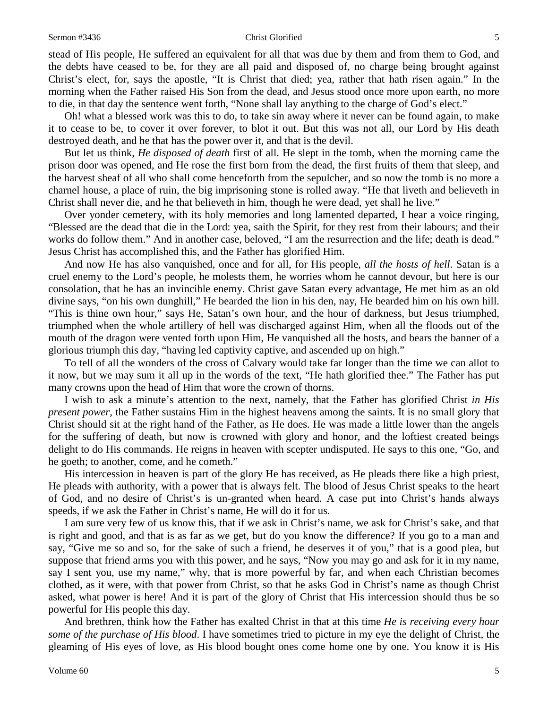stead of His people, He suffered an equivalent for all that was due by them and from them to God, and the debts have ceased to be, for they are all paid and disposed of, no charge being brought against Christ's elect, for, says the apostle, "It is Christ that died; yea, rather that hath risen again." In the morning when the Father raised His Son from the dead, and Jesus stood once more upon earth, no more to die, in that day the sentence went forth, "None shall lay anything to the charge of God's elect."

Oh! what a blessed work was this to do, to take sin away where it never can be found again, to make it to cease to be, to cover it over forever, to blot it out. But this was not all, our Lord by His death destroyed death, and he that has the power over it, and that is the devil.

But let us think, *He disposed of death* first of all. He slept in the tomb, when the morning came the prison door was opened, and He rose the first born from the dead, the first fruits of them that sleep, and the harvest sheaf of all who shall come henceforth from the sepulcher, and so now the tomb is no more a charnel house, a place of ruin, the big imprisoning stone is rolled away. "He that liveth and believeth in Christ shall never die, and he that believeth in him, though he were dead, yet shall he live."

Over yonder cemetery, with its holy memories and long lamented departed, I hear a voice ringing, "Blessed are the dead that die in the Lord: yea, saith the Spirit, for they rest from their labours; and their works do follow them." And in another case, beloved, "I am the resurrection and the life; death is dead." Jesus Christ has accomplished this, and the Father has glorified Him.

And now He has also vanquished, once and for all, for His people, *all the hosts of hell*. Satan is a cruel enemy to the Lord's people, he molests them, he worries whom he cannot devour, but here is our consolation, that he has an invincible enemy. Christ gave Satan every advantage, He met him as an old divine says, "on his own dunghill," He bearded the lion in his den, nay, He bearded him on his own hill. "This is thine own hour," says He, Satan's own hour, and the hour of darkness, but Jesus triumphed, triumphed when the whole artillery of hell was discharged against Him, when all the floods out of the mouth of the dragon were vented forth upon Him, He vanquished all the hosts, and bears the banner of a glorious triumph this day, "having led captivity captive, and ascended up on high."

To tell of all the wonders of the cross of Calvary would take far longer than the time we can allot to it now, but we may sum it all up in the words of the text, "He hath glorified thee." The Father has put many crowns upon the head of Him that wore the crown of thorns.

I wish to ask a minute's attention to the next, namely, that the Father has glorified Christ *in His present power,* the Father sustains Him in the highest heavens among the saints. It is no small glory that Christ should sit at the right hand of the Father, as He does. He was made a little lower than the angels for the suffering of death, but now is crowned with glory and honor, and the loftiest created beings delight to do His commands. He reigns in heaven with scepter undisputed. He says to this one, "Go, and he goeth; to another, come, and he cometh."

His intercession in heaven is part of the glory He has received, as He pleads there like a high priest, He pleads with authority, with a power that is always felt. The blood of Jesus Christ speaks to the heart of God, and no desire of Christ's is un-granted when heard. A case put into Christ's hands always speeds, if we ask the Father in Christ's name, He will do it for us.

I am sure very few of us know this, that if we ask in Christ's name, we ask for Christ's sake, and that is right and good, and that is as far as we get, but do you know the difference? If you go to a man and say, "Give me so and so, for the sake of such a friend, he deserves it of you," that is a good plea, but suppose that friend arms you with this power, and he says, "Now you may go and ask for it in my name, say I sent you, use my name," why, that is more powerful by far, and when each Christian becomes clothed, as it were, with that power from Christ, so that he asks God in Christ's name as though Christ asked, what power is here! And it is part of the glory of Christ that His intercession should thus be so powerful for His people this day.

And brethren, think how the Father has exalted Christ in that at this time *He is receiving every hour some of the purchase of His blood*. I have sometimes tried to picture in my eye the delight of Christ, the gleaming of His eyes of love, as His blood bought ones come home one by one. You know it is His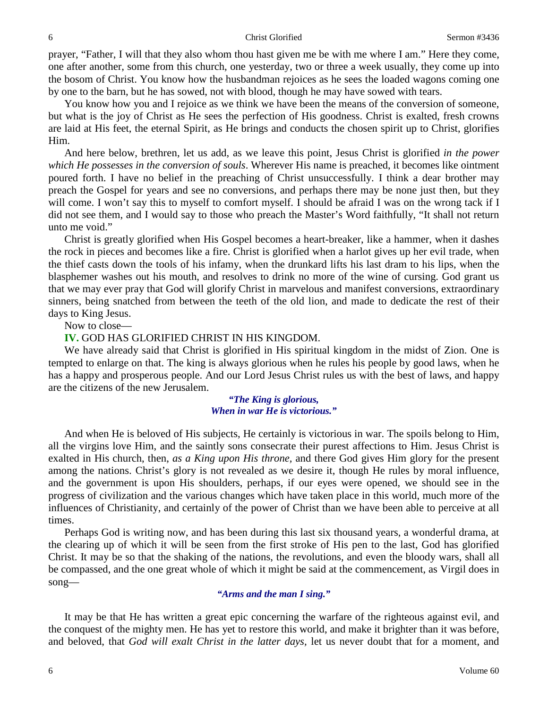prayer, "Father, I will that they also whom thou hast given me be with me where I am." Here they come, one after another, some from this church, one yesterday, two or three a week usually, they come up into the bosom of Christ. You know how the husbandman rejoices as he sees the loaded wagons coming one by one to the barn, but he has sowed, not with blood, though he may have sowed with tears.

You know how you and I rejoice as we think we have been the means of the conversion of someone, but what is the joy of Christ as He sees the perfection of His goodness. Christ is exalted, fresh crowns are laid at His feet, the eternal Spirit, as He brings and conducts the chosen spirit up to Christ, glorifies Him.

And here below, brethren, let us add, as we leave this point, Jesus Christ is glorified *in the power which He possesses in the conversion of souls*. Wherever His name is preached, it becomes like ointment poured forth. I have no belief in the preaching of Christ unsuccessfully. I think a dear brother may preach the Gospel for years and see no conversions, and perhaps there may be none just then, but they will come. I won't say this to myself to comfort myself. I should be afraid I was on the wrong tack if I did not see them, and I would say to those who preach the Master's Word faithfully, "It shall not return unto me void."

Christ is greatly glorified when His Gospel becomes a heart-breaker, like a hammer, when it dashes the rock in pieces and becomes like a fire. Christ is glorified when a harlot gives up her evil trade, when the thief casts down the tools of his infamy, when the drunkard lifts his last dram to his lips, when the blasphemer washes out his mouth, and resolves to drink no more of the wine of cursing. God grant us that we may ever pray that God will glorify Christ in marvelous and manifest conversions, extraordinary sinners, being snatched from between the teeth of the old lion, and made to dedicate the rest of their days to King Jesus.

Now to close—

## **IV.** GOD HAS GLORIFIED CHRIST IN HIS KINGDOM.

We have already said that Christ is glorified in His spiritual kingdom in the midst of Zion. One is tempted to enlarge on that. The king is always glorious when he rules his people by good laws, when he has a happy and prosperous people. And our Lord Jesus Christ rules us with the best of laws, and happy are the citizens of the new Jerusalem.

> *"The King is glorious, When in war He is victorious."*

And when He is beloved of His subjects, He certainly is victorious in war. The spoils belong to Him, all the virgins love Him, and the saintly sons consecrate their purest affections to Him. Jesus Christ is exalted in His church, then, *as a King upon His throne,* and there God gives Him glory for the present among the nations. Christ's glory is not revealed as we desire it, though He rules by moral influence, and the government is upon His shoulders, perhaps, if our eyes were opened, we should see in the progress of civilization and the various changes which have taken place in this world, much more of the influences of Christianity, and certainly of the power of Christ than we have been able to perceive at all times.

Perhaps God is writing now, and has been during this last six thousand years, a wonderful drama, at the clearing up of which it will be seen from the first stroke of His pen to the last, God has glorified Christ. It may be so that the shaking of the nations, the revolutions, and even the bloody wars, shall all be compassed, and the one great whole of which it might be said at the commencement, as Virgil does in song—

## *"Arms and the man I sing."*

It may be that He has written a great epic concerning the warfare of the righteous against evil, and the conquest of the mighty men. He has yet to restore this world, and make it brighter than it was before, and beloved, that *God will exalt Christ in the latter days,* let us never doubt that for a moment, and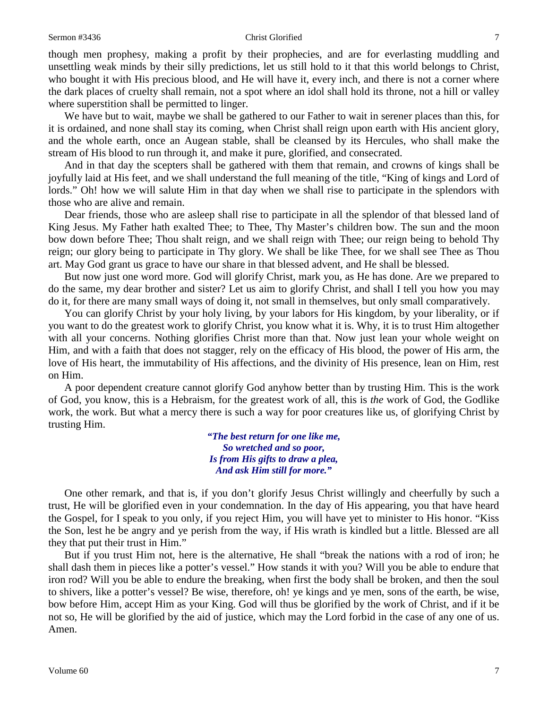#### Sermon #3436 **Christ Glorified** 7

though men prophesy, making a profit by their prophecies, and are for everlasting muddling and unsettling weak minds by their silly predictions, let us still hold to it that this world belongs to Christ, who bought it with His precious blood, and He will have it, every inch, and there is not a corner where the dark places of cruelty shall remain, not a spot where an idol shall hold its throne, not a hill or valley where superstition shall be permitted to linger.

We have but to wait, maybe we shall be gathered to our Father to wait in serener places than this, for it is ordained, and none shall stay its coming, when Christ shall reign upon earth with His ancient glory, and the whole earth, once an Augean stable, shall be cleansed by its Hercules, who shall make the stream of His blood to run through it, and make it pure, glorified, and consecrated.

And in that day the scepters shall be gathered with them that remain, and crowns of kings shall be joyfully laid at His feet, and we shall understand the full meaning of the title, "King of kings and Lord of lords." Oh! how we will salute Him in that day when we shall rise to participate in the splendors with those who are alive and remain.

Dear friends, those who are asleep shall rise to participate in all the splendor of that blessed land of King Jesus. My Father hath exalted Thee; to Thee, Thy Master's children bow. The sun and the moon bow down before Thee; Thou shalt reign, and we shall reign with Thee; our reign being to behold Thy reign; our glory being to participate in Thy glory. We shall be like Thee, for we shall see Thee as Thou art. May God grant us grace to have our share in that blessed advent, and He shall be blessed.

But now just one word more. God will glorify Christ, mark you, as He has done. Are we prepared to do the same, my dear brother and sister? Let us aim to glorify Christ, and shall I tell you how you may do it, for there are many small ways of doing it, not small in themselves, but only small comparatively.

You can glorify Christ by your holy living, by your labors for His kingdom, by your liberality, or if you want to do the greatest work to glorify Christ, you know what it is. Why, it is to trust Him altogether with all your concerns. Nothing glorifies Christ more than that. Now just lean your whole weight on Him, and with a faith that does not stagger, rely on the efficacy of His blood, the power of His arm, the love of His heart, the immutability of His affections, and the divinity of His presence, lean on Him, rest on Him.

A poor dependent creature cannot glorify God anyhow better than by trusting Him. This is the work of God, you know, this is a Hebraism, for the greatest work of all, this is *the* work of God, the Godlike work, the work. But what a mercy there is such a way for poor creatures like us, of glorifying Christ by trusting Him.

> *"The best return for one like me, So wretched and so poor, Is from His gifts to draw a plea, And ask Him still for more."*

One other remark, and that is, if you don't glorify Jesus Christ willingly and cheerfully by such a trust, He will be glorified even in your condemnation. In the day of His appearing, you that have heard the Gospel, for I speak to you only, if you reject Him, you will have yet to minister to His honor. "Kiss the Son, lest he be angry and ye perish from the way, if His wrath is kindled but a little. Blessed are all they that put their trust in Him."

But if you trust Him not, here is the alternative, He shall "break the nations with a rod of iron; he shall dash them in pieces like a potter's vessel." How stands it with you? Will you be able to endure that iron rod? Will you be able to endure the breaking, when first the body shall be broken, and then the soul to shivers, like a potter's vessel? Be wise, therefore, oh! ye kings and ye men, sons of the earth, be wise, bow before Him, accept Him as your King. God will thus be glorified by the work of Christ, and if it be not so, He will be glorified by the aid of justice, which may the Lord forbid in the case of any one of us. Amen.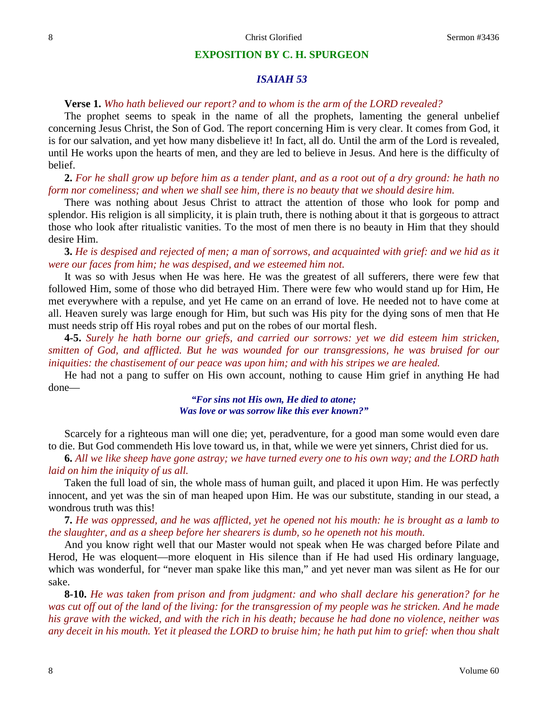## **EXPOSITION BY C. H. SPURGEON**

## *ISAIAH 53*

## **Verse 1.** *Who hath believed our report? and to whom is the arm of the LORD revealed?*

The prophet seems to speak in the name of all the prophets, lamenting the general unbelief concerning Jesus Christ, the Son of God. The report concerning Him is very clear. It comes from God, it is for our salvation, and yet how many disbelieve it! In fact, all do. Until the arm of the Lord is revealed, until He works upon the hearts of men, and they are led to believe in Jesus. And here is the difficulty of belief.

# **2.** *For he shall grow up before him as a tender plant, and as a root out of a dry ground: he hath no form nor comeliness; and when we shall see him, there is no beauty that we should desire him.*

There was nothing about Jesus Christ to attract the attention of those who look for pomp and splendor. His religion is all simplicity, it is plain truth, there is nothing about it that is gorgeous to attract those who look after ritualistic vanities. To the most of men there is no beauty in Him that they should desire Him.

**3.** *He is despised and rejected of men; a man of sorrows, and acquainted with grief: and we hid as it were our faces from him; he was despised, and we esteemed him not.*

It was so with Jesus when He was here. He was the greatest of all sufferers, there were few that followed Him, some of those who did betrayed Him. There were few who would stand up for Him, He met everywhere with a repulse, and yet He came on an errand of love. He needed not to have come at all. Heaven surely was large enough for Him, but such was His pity for the dying sons of men that He must needs strip off His royal robes and put on the robes of our mortal flesh.

**4-5.** *Surely he hath borne our griefs, and carried our sorrows: yet we did esteem him stricken, smitten of God, and afflicted. But he was wounded for our transgressions, he was bruised for our iniquities: the chastisement of our peace was upon him; and with his stripes we are healed.*

He had not a pang to suffer on His own account, nothing to cause Him grief in anything He had done—

> *"For sins not His own, He died to atone; Was love or was sorrow like this ever known?"*

Scarcely for a righteous man will one die; yet, peradventure, for a good man some would even dare to die. But God commendeth His love toward us, in that, while we were yet sinners, Christ died for us.

**6.** *All we like sheep have gone astray; we have turned every one to his own way; and the LORD hath laid on him the iniquity of us all.*

Taken the full load of sin, the whole mass of human guilt, and placed it upon Him. He was perfectly innocent, and yet was the sin of man heaped upon Him. He was our substitute, standing in our stead, a wondrous truth was this!

**7.** *He was oppressed, and he was afflicted, yet he opened not his mouth: he is brought as a lamb to the slaughter, and as a sheep before her shearers is dumb, so he openeth not his mouth.*

And you know right well that our Master would not speak when He was charged before Pilate and Herod, He was eloquent—more eloquent in His silence than if He had used His ordinary language, which was wonderful, for "never man spake like this man," and yet never man was silent as He for our sake.

**8-10.** *He was taken from prison and from judgment: and who shall declare his generation? for he was cut off out of the land of the living: for the transgression of my people was he stricken. And he made his grave with the wicked, and with the rich in his death; because he had done no violence, neither was any deceit in his mouth. Yet it pleased the LORD to bruise him; he hath put him to grief: when thou shalt*